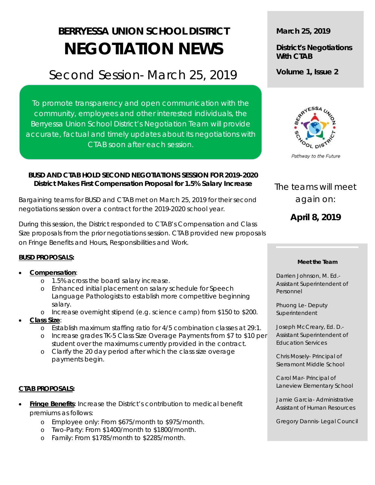# **BERRYESSA UNION SCHOOL DISTRICT NEGOTIATION NEWS**

# Second Session- March 25, 2019

To promote transparency and open communication with the community, employees and other interested individuals, the Berryessa Union School District's Negotiation Team will provide accurate, factual and timely updates about its negotiations with CTAB soon after each session.

# **BUSD AND CTAB HOLD SECOND NEGOTIATIONS SESSION FOR 2019-2020 District Makes First Compensation Proposal for 1.5% Salary Increase**

Bargaining teams for BUSD and CTAB met on March 25, 2019 for their second negotiations session over a contract for the 2019-2020 school year.

During this session, the District responded to CTAB's Compensation and Class Size proposals from the prior negotiations session. CTAB provided new proposals on Fringe Benefits and Hours, Responsibilities and Work.

# **BUSD PROPOSALS:**

# • **Compensation**:

- o 1.5% across the board salary increase.
- o Enhanced initial placement on salary schedule for Speech Language Pathologists to establish more competitive beginning salary.
- o Increase overnight stipend (e.g. science camp) from \$150 to \$200.
- **Class Size**:
	- o Establish maximum staffing ratio for 4/5 combination classes at 29:1.
	- o Increase grades TK-5 Class Size Overage Payments from \$7 to \$10 per student over the maximums currently provided in the contract.
	- o Clarify the 20 day period after which the class size overage payments begin.

#### **CTAB PROPOSALS:**

- **Fringe Benefits**: Increase the District's contribution to medical benefit premiums as follows:
	- o Employee only: From \$675/month to \$975/month.
	- o Two-Party: From \$1400/month to \$1800/month.
	- Family: From \$1785/month to \$2285/month.

**March 25, 2019**

# **District's Negotiations With CTAB**

**Volume 1, Issue 2**



Pathway to the Future

# The teams will meet again on:

**April 8, 2019**

#### **Meet the Team**

Darrien Johnson, M. Ed.- Assistant Superintendent of Personnel

Phuong Le- Deputy Superintendent

Joseph McCreary, Ed. D.- Assistant Superintendent of Education Services

Chris Mosely- Principal of Sierramont Middle School

Carol Mar- Principal of Laneview Elementary School

Jamie Garcia- Administrative Assistant of Human Resources

Gregory Dannis- Legal Council